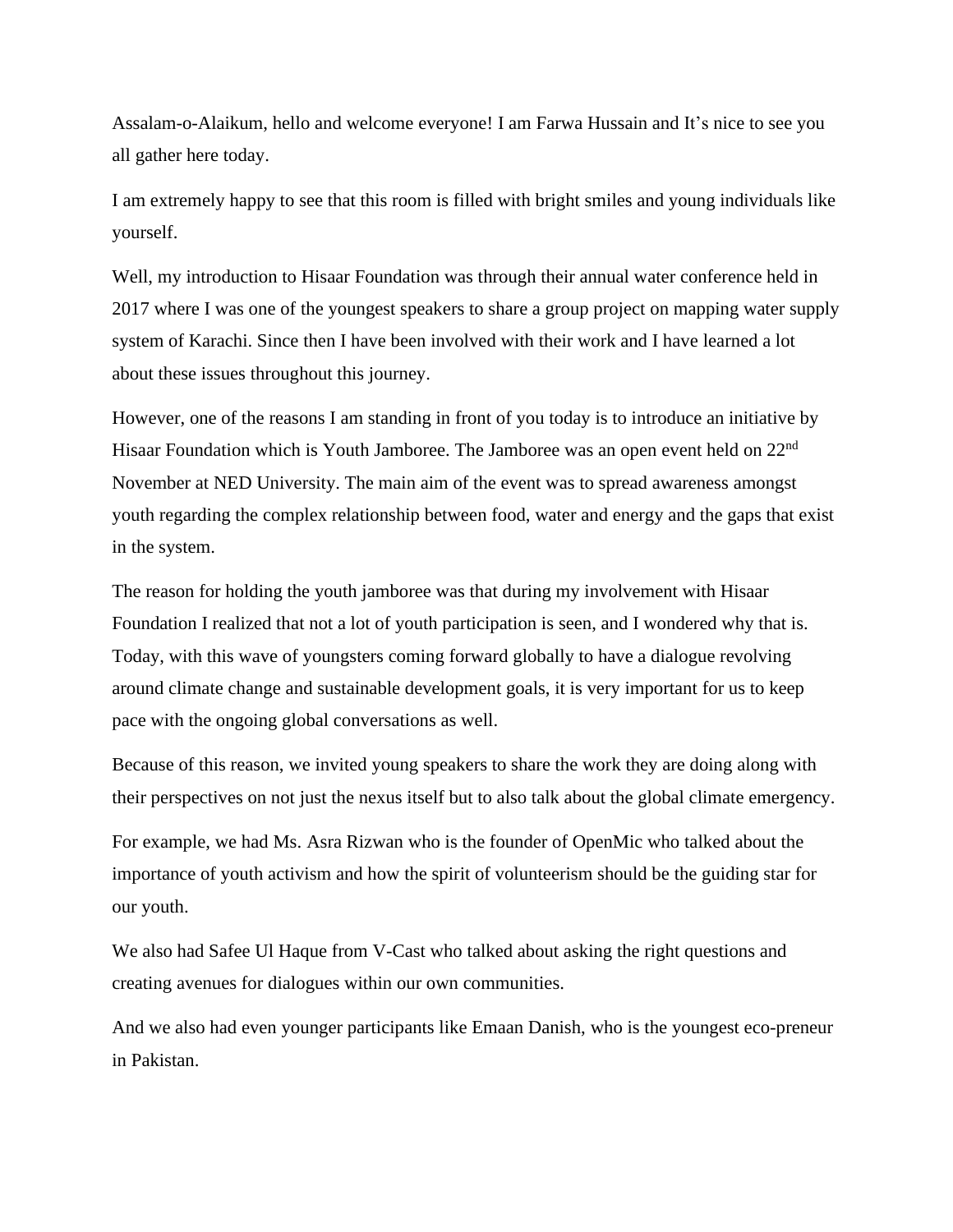Assalam-o-Alaikum, hello and welcome everyone! I am Farwa Hussain and It's nice to see you all gather here today.

I am extremely happy to see that this room is filled with bright smiles and young individuals like yourself.

Well, my introduction to Hisaar Foundation was through their annual water conference held in 2017 where I was one of the youngest speakers to share a group project on mapping water supply system of Karachi. Since then I have been involved with their work and I have learned a lot about these issues throughout this journey.

However, one of the reasons I am standing in front of you today is to introduce an initiative by Hisaar Foundation which is Youth Jamboree. The Jamboree was an open event held on 22<sup>nd</sup> November at NED University. The main aim of the event was to spread awareness amongst youth regarding the complex relationship between food, water and energy and the gaps that exist in the system.

The reason for holding the youth jamboree was that during my involvement with Hisaar Foundation I realized that not a lot of youth participation is seen, and I wondered why that is. Today, with this wave of youngsters coming forward globally to have a dialogue revolving around climate change and sustainable development goals, it is very important for us to keep pace with the ongoing global conversations as well.

Because of this reason, we invited young speakers to share the work they are doing along with their perspectives on not just the nexus itself but to also talk about the global climate emergency.

For example, we had Ms. Asra Rizwan who is the founder of OpenMic who talked about the importance of youth activism and how the spirit of volunteerism should be the guiding star for our youth.

We also had Safee Ul Haque from V-Cast who talked about asking the right questions and creating avenues for dialogues within our own communities.

And we also had even younger participants like Emaan Danish, who is the youngest eco-preneur in Pakistan.